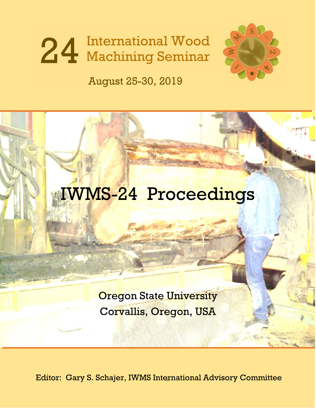# 24 International Wood<br>24 Machining Seminar



August 25-30, 2019

# IWMS-24 Proceedings

**Oregon State University** Corvallis, Oregon, USA

i Editor: Gary S. Schajer, IWMS International Advisory Committee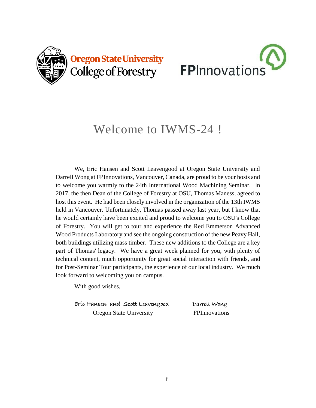



## Welcome to IWMS-24 !

We, Eric Hansen and Scott Leavengood at Oregon State University and Darrell Wong at FPInnovations, Vancouver, Canada, are proud to be your hosts and to welcome you warmly to the 24th International Wood Machining Seminar. In 2017, the then Dean of the College of Forestry at OSU, Thomas Maness, agreed to host this event. He had been closely involved in the organization of the 13th IWMS held in Vancouver. Unfortunately, Thomas passed away last year, but I know that he would certainly have been excited and proud to welcome you to OSU's College of Forestry. You will get to tour and experience the Red Emmerson Advanced Wood Products Laboratory and see the ongoing construction of the new Peavy Hall, both buildings utilizing mass timber. These new additions to the College are a key part of Thomas' legacy. We have a great week planned for you, with plenty of technical content, much opportunity for great social interaction with friends, and for Post-Seminar Tour participants, the experience of our local industry. We much look forward to welcoming you on campus.

With good wishes,

Eric Hansen and Scott Leavengood Darrell Wong Oregon State University FPInnovations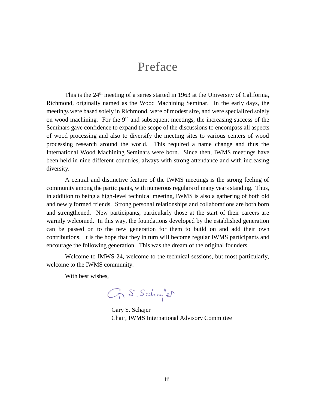#### Preface

This is the  $24<sup>th</sup>$  meeting of a series started in 1963 at the University of California, Richmond, originally named as the Wood Machining Seminar. In the early days, the meetings were based solely in Richmond, were of modest size, and were specialized solely on wood machining. For the  $9<sup>th</sup>$  and subsequent meetings, the increasing success of the Seminars gave confidence to expand the scope of the discussions to encompass all aspects of wood processing and also to diversify the meeting sites to various centers of wood processing research around the world. This required a name change and thus the International Wood Machining Seminars were born. Since then, IWMS meetings have been held in nine different countries, always with strong attendance and with increasing diversity.

A central and distinctive feature of the IWMS meetings is the strong feeling of community among the participants, with numerous regulars of many years standing. Thus, in addition to being a high-level technical meeting, IWMS is also a gathering of both old and newly formed friends. Strong personal relationships and collaborations are both born and strengthened. New participants, particularly those at the start of their careers are warmly welcomed. In this way, the foundations developed by the established generation can be passed on to the new generation for them to build on and add their own contributions. It is the hope that they in turn will become regular IWMS participants and encourage the following generation. This was the dream of the original founders.

Welcome to IMWS-24, welcome to the technical sessions, but most particularly, welcome to the IWMS community.

With best wishes,

Gr S. Schafer

Gary S. Schajer Chair, IWMS International Advisory Committee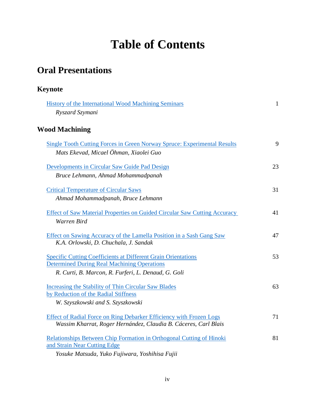# **Table of Contents**

#### **Oral Presentations**

| <b>Keynote</b>                                                                                                                                |    |
|-----------------------------------------------------------------------------------------------------------------------------------------------|----|
| <b>History of the International Wood Machining Seminars</b>                                                                                   | 1  |
| Ryszard Szymani                                                                                                                               |    |
| <b>Wood Machining</b>                                                                                                                         |    |
| <b>Single Tooth Cutting Forces in Green Norway Spruce: Experimental Results</b>                                                               | 9  |
| Mats Ekevad, Micael Öhman, Xiaolei Guo                                                                                                        |    |
| Developments in Circular Saw Guide Pad Design                                                                                                 | 23 |
| Bruce Lehmann, Ahmad Mohammadpanah                                                                                                            |    |
| <b>Critical Temperature of Circular Saws</b>                                                                                                  | 31 |
| Ahmad Mohammadpanah, Bruce Lehmann                                                                                                            |    |
| Effect of Saw Material Properties on Guided Circular Saw Cutting Accuracy<br>Warren Bird                                                      | 41 |
| Effect on Sawing Accuracy of the Lamella Position in a Sash Gang Saw<br>K.A. Orlowski, D. Chuchala, J. Sandak                                 | 47 |
| <b>Specific Cutting Coefficients at Different Grain Orientations</b><br><b>Determined During Real Machining Operations</b>                    | 53 |
| R. Curti, B. Marcon, R. Furferi, L. Denaud, G. Goli                                                                                           |    |
| Increasing the Stability of Thin Circular Saw Blades                                                                                          | 63 |
| by Reduction of the Radial Stiffness                                                                                                          |    |
| W. Szyszkowski and S. Szyszkowski                                                                                                             |    |
| <b>Effect of Radial Force on Ring Debarker Efficiency with Frozen Logs</b><br>Wassim Kharrat, Roger Hernández, Claudia B. Cáceres, Carl Blais | 71 |
| Relationships Between Chip Formation in Orthogonal Cutting of Hinoki                                                                          | 81 |
| and Strain Near Cutting Edge<br>Yosuke Matsuda, Yuko Fujiwara, Yoshihisa Fujii                                                                |    |
|                                                                                                                                               |    |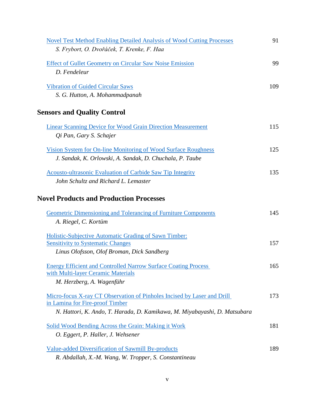| <b>Novel Test Method Enabling Detailed Analysis of Wood Cutting Processes</b>          |  |
|----------------------------------------------------------------------------------------|--|
| S. Frybort, O. Dvořáček, T. Krenke, F. Haa                                             |  |
| <b>Effect of Gullet Geometry on Circular Saw Noise Emission</b>                        |  |
| D. Fendeleur                                                                           |  |
| <b>Vibration of Guided Circular Saws</b>                                               |  |
| S. G. Hutton, A. Mohammadpanah                                                         |  |
| <b>Sensors and Quality Control</b>                                                     |  |
| <b>Linear Scanning Device for Wood Grain Direction Measurement</b>                     |  |
| Qi Pan, Gary S. Schajer                                                                |  |
| Vision System for On-line Monitoring of Wood Surface Roughness                         |  |
| J. Sandak, K. Orlowski, A. Sandak, D. Chuchala, P. Taube                               |  |
| <b>Acousto-ultrasonic Evaluation of Carbide Saw Tip Integrity</b>                      |  |
| John Schultz and Richard L. Lemaster                                                   |  |
| <b>Novel Products and Production Processes</b>                                         |  |
| Geometric Dimensioning and Tolerancing of Furniture Components<br>A. Riegel, C. Kortüm |  |
| Holistic-Subjective Automatic Grading of Sawn Timber:                                  |  |
| <b>Sensitivity to Systematic Changes</b>                                               |  |
| Linus Olofsson, Olof Broman, Dick Sandberg                                             |  |
| <b>Energy Efficient and Controlled Narrow Surface Coating Process</b>                  |  |
| with Multi-layer Ceramic Materials<br>M. Herzberg, A. Wagenführ                        |  |
| Micro-focus X-ray CT Observation of Pinholes Incised by Laser and Drill                |  |
| in Lamina for Fire-proof Timber                                                        |  |
| N. Hattori, K. Ando, T. Harada, D. Kamikawa, M. Miyabayashi, D. Matsubara              |  |
| Solid Wood Bending Across the Grain: Making it Work                                    |  |
| O. Eggert, P. Haller, J. Wehsener                                                      |  |
| <b>Value-added Diversification of Sawmill By-products</b>                              |  |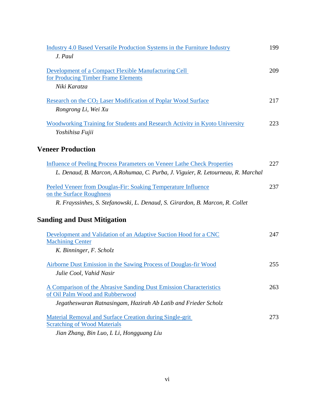| <b>Industry 4.0 Based Versatile Production Systems in the Furniture Industry</b>                                                                                          | 199 |
|---------------------------------------------------------------------------------------------------------------------------------------------------------------------------|-----|
| J. Paul                                                                                                                                                                   |     |
| Development of a Compact Flexible Manufacturing Cell<br>for Producing Timber Frame Elements                                                                               | 209 |
| Niki Karatza                                                                                                                                                              |     |
| Research on the CO <sub>2</sub> Laser Modification of Poplar Wood Surface                                                                                                 | 217 |
| Rongrong Li, Wei Xu                                                                                                                                                       |     |
| <b>Woodworking Training for Students and Research Activity in Kyoto University</b><br>Yoshihisa Fujii                                                                     | 223 |
| <b>Veneer Production</b>                                                                                                                                                  |     |
| Influence of Peeling Process Parameters on Veneer Lathe Check Properties<br>L. Denaud, B. Marcon, A.Rohumaa, C. Purba, J. Viguier, R. Letourneau, R. Marchal              | 227 |
| Peeled Veneer from Douglas-Fir: Soaking Temperature Influence<br>on the Surface Roughness<br>R. Frayssinhes, S. Stefanowski, L. Denaud, S. Girardon, B. Marcon, R. Collet | 237 |
| <b>Sanding and Dust Mitigation</b>                                                                                                                                        |     |
| Development and Validation of an Adaptive Suction Hood for a CNC<br><b>Machining Center</b>                                                                               | 247 |
| K. Binninger, F. Scholz                                                                                                                                                   |     |
| Airborne Dust Emission in the Sawing Process of Douglas-fir Wood<br>Julie Cool, Vahid Nasir                                                                               | 255 |
| A Comparison of the Abrasive Sanding Dust Emission Characteristics<br>of Oil Palm Wood and Rubberwood                                                                     | 263 |
| Jegatheswaran Ratnasingam, Hazirah Ab Latib and Frieder Scholz                                                                                                            |     |
| <b>Material Removal and Surface Creation during Single-grit</b><br><b>Scratching of Wood Materials</b>                                                                    | 273 |
| Jian Zhang, Bin Luo, L Li, Hongguang Liu                                                                                                                                  |     |